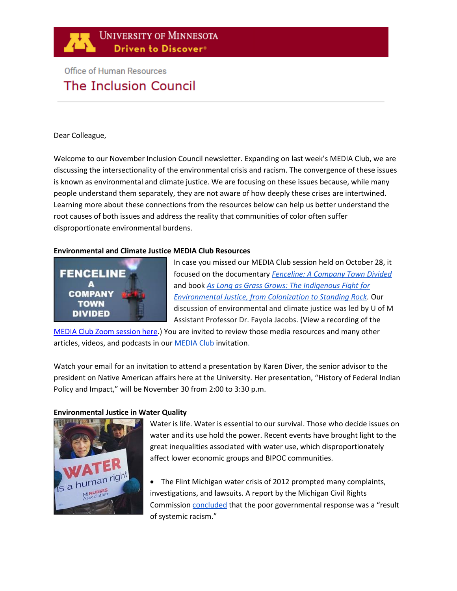# **Office of Human Resources** The Inclusion Council

## Dear Colleague,

Welcome to our November Inclusion Council newsletter. Expanding on last week's MEDIA Club, we are discussing the intersectionality of the environmental crisis and racism. The convergence of these issues is known as environmental and climate justice. We are focusing on these issues because, while many people understand them separately, they are not aware of how deeply these crises are intertwined. Learning more about these connections from the resources below can help us better understand the root causes of both issues and address the reality that communities of color often suffer disproportionate environmental burdens.

## **Environmental and Climate Justice MEDIA Club Resources**



In case you missed our MEDIA Club session held on October 28, it focused on the documentary *[Fenceline: A Company Town Divided](https://video-alexanderstreet-com.ezp3.lib.umn.edu/watch/fenceline-a-company-town-divided)* and book *[As Long as Grass Grows: The Indigenous Fight for](https://www.penguinrandomhouse.com/books/567167/as-long-as-grass-grows-by-dina-gilio-whitaker/)  [Environmental Justice, from Colonization to Standing Rock.](https://www.penguinrandomhouse.com/books/567167/as-long-as-grass-grows-by-dina-gilio-whitaker/)* Our discussion of environmental and climate justice was led by U of M Assistant Professor Dr. Fayola Jacobs. (View a recording of the

[MEDIA Club Zoom session here.](https://umn.zoom.us/rec/share/sZqknORwsyi5EwnnRz0KIt5a5tMI3wAL783BbWNKRFcEKPT01gnCuky5jZ7Gw7Ng.BqMzkZC4BsNVFh0T?startTime=1635441194000)) You are invited to review those media resources and many other articles, videos, and podcasts in our **MEDIA [Club](https://docs.google.com/document/u/0/d/17l-8_kE65-oUn-fJBvDUxl5yHVXtalt3RQLVMEp0Df8/edit)** invitation.

Watch your email for an invitation to attend a presentation by Karen Diver, the senior advisor to the president on Native American affairs here at the University. Her presentation, "History of Federal Indian Policy and Impact," will be November 30 from 2:00 to 3:30 p.m.

## **Environmental Justice in Water Quality**



Water is life. Water is essential to our survival. Those who decide issues on water and its use hold the power. Recent events have brought light to the great inequalities associated with water use, which disproportionately affect lower economic groups and BIPOC communities.

• The Flint Michigan water crisis of 2012 prompted many complaints, investigations, and lawsuits. A report by the Michigan Civil Rights Commissio[n](https://www.michigan.gov/documents/mdcr/VFlintCrisisRep-F-Edited3-13-17_554317_7.pdf) [concluded](https://www.michigan.gov/documents/mdcr/VFlintCrisisRep-F-Edited3-13-17_554317_7.pdf) that the poor governmental response was a "result of systemic racism."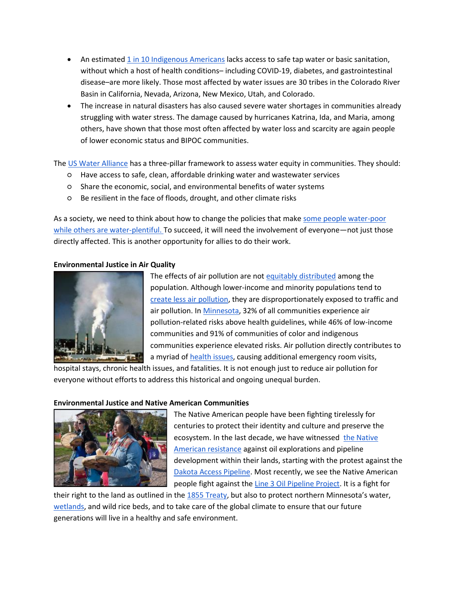- An estimated 1 [in 10 Indigenous Americans](https://www.theguardian.com/us-news/2021/apr/28/indigenous-americans-drinking-water-navajo-nation) lacks access to safe tap water or basic sanitation, without which a host of health conditions– including COVID-19, diabetes, and gastrointestinal disease–are more likely. Those most affected by water issues are 30 tribes in the Colorado River Basin in California, Nevada, Arizona, New Mexico, Utah, and Colorado.
- The increase in natural disasters has also caused severe water shortages in communities already struggling with water stress. The damage caused by hurricanes Katrina, Ida, and Maria, among others, have shown that those most often affected by water loss and scarcity are again people of lower economic status and BIPOC communities.

The [US Water Alliance](http://uswateralliance.org/wec/framework) has a three-pillar framework to assess water equity in communities. They should:

- Have access to safe, clean, affordable drinking water and wastewater services
- Share the economic, social, and environmental benefits of water systems
- Be resilient in the face of floods, drought, and other climate risks

As a society, we need to think about how to change the policies that make [some people water-poor](https://www.mic.com/articles/30766/world-water-day-why-access-to-clean-water-is-a-crucial-social-justice-issue)  [while others are water-plentiful.](https://www.mic.com/articles/30766/world-water-day-why-access-to-clean-water-is-a-crucial-social-justice-issue) To succeed, it will need the involvement of everyone—not just those directly affected. This is another opportunity for allies to do their work.

## **Environmental Justice in Air Quality**



The effects of air pollution are no[t equitably distributed](https://www.washingtonpost.com/climate-environment/2021/04/28/environmental-justice-pollution/) among the population. Although lower-income and minority populations tend to [create less air pollution,](https://www.npr.org/sections/health-shots/2019/03/11/702348935/study-finds-racial-gap-between-who-causes-air-pollution-and-who-breathes-it) they are disproportionately exposed to traffic and air pollution. In [Minnesota,](https://www.pca.state.mn.us/sites/default/files/lraq-1sy19.pdf) 32% of all communities experience air pollution-related risks above health guidelines, while 46% of low-income communities and 91% of communities of color and indigenous communities experience elevated risks. Air pollution directly contributes to a myriad o[f health issues,](https://www.health.state.mn.us/communities/environment/climate/air.html) causing additional emergency room visits,

hospital stays, chronic health issues, and fatalities. It is not enough just to reduce air pollution for everyone without efforts to address this historical and ongoing unequal burden.

## **Environmental Justice and Native American Communities**



The Native American people have been fighting tirelessly for centuries to protect their identity and culture and preserve the ecosystem. In the last decade, we have witnessed [the Native](https://theconversation.com/why-the-native-american-pipeline-resistance-in-north-dakota-is-about-climate-justice-64714)  [American resistance](https://theconversation.com/why-the-native-american-pipeline-resistance-in-north-dakota-is-about-climate-justice-64714) against oil explorations and pipeline development within their lands, starting with the protest against the [Dakota Access Pipeline.](https://americanindian.si.edu/nk360/plains-treaties/dapl) Most recently, we see the Native American people fight against the [Line 3 Oil Pipeline Project.](https://www.mprnews.org/story/2021/07/16/the-line-3-oil-pipeline-project-what-you-need-to-know) It is a fight for

their right to the land as outlined in th[e 1855 Treaty,](https://www.mnhs.org/millelacs/learn/treaties) but also to protect northern Minnesota's water, [wetlands,](https://www.mprnews.org/story/2021/08/10/mpca-line-3-drilling-fluid-spilled-into-wetlands) and wild rice beds, and to take care of the global climate to ensure that our future generations will live in a healthy and safe environment.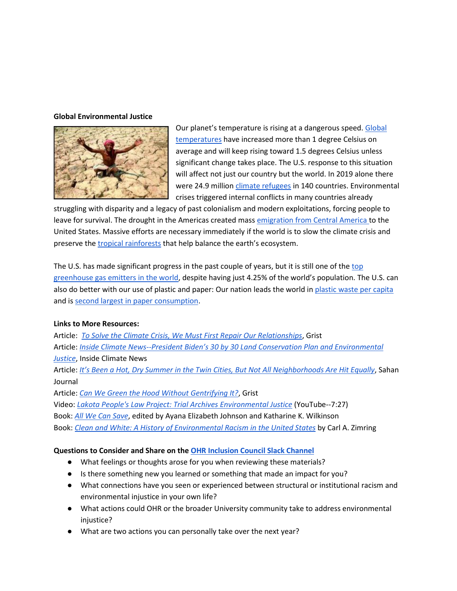#### **Global Environmental Justice**



Our planet's temperature is rising at a dangerous speed[. Global](https://www.bbc.com/news/science-environment-24021772)  [temperatures](https://www.bbc.com/news/science-environment-24021772) have increased more than 1 degree Celsius on average and will keep rising toward 1.5 degrees Celsius unless significant change takes place. The U.S. response to this situation will affect not just our country but the world. In 2019 alone there were 24.9 millio[n climate refugees](https://www.unhcr.org/en-us/news/latest/2020/11/5fbf73384/climate-change-defining-crisis-time-particularly-impacts-displaced.html) in 140 countries. Environmental crises triggered internal conflicts in many countries already

struggling with disparity and a legacy of past colonialism and modern exploitations, forcing people to leave for survival. The drought in the Americas created mass [emigration from Central America](https://theconversation.com/how-climate-change-is-driving-emigration-from-central-america-121525) to the United States. Massive efforts are necessary immediately if the world is to slow the climate crisis and preserve the [tropical rainforests](https://www.conservation.org/blog/3-ways-climate-change-affects-tropical-rainforests) that help balance the earth's ecosystem.

The U.S. has made significant progress in the past couple of years, but it is still one of the top [greenhouse gas emitters](https://www.wri.org/insights/interactive-chart-shows-changes-worlds-top-10-emitters) in the world, despite having just 4.25% of the world's population. The U.S. can also do better with our use of plastic and paper: Our nation leads the world in [plastic waste per capita](https://www.forbes.com/sites/davidrvetter/2020/11/11/which-two-countries-produce-the-most-plastic-trash-per-person/?sh=24db42b47187) and i[s second largest in paper consumption.](https://www.statista.com/statistics/240565/consumption-volume-of-paper-and-paperboard-in-selected-countries/)

## **Links to More Resources:**

Article: *[To Solve the Climate Crisis, We Must First Repair Our Relationships](https://grist.org/climate/to-solve-the-climate-crisis-we-must-first-repair-our-relationships/)*, Grist Article: *Inside Climate News--[President Biden's 30 by 30 Land Conservation Plan and Environmental](https://insideclimatenews.org/news/21122020/biden-30-by-30-land-conservation-plan-environmental-justice/)  [Justice](https://insideclimatenews.org/news/21122020/biden-30-by-30-land-conservation-plan-environmental-justice/)*, Inside Climate News Article: *[It's Been a Hot, Dry Summer in the Twin Cities, But Not All Neighborhoods](https://sahanjournal.com/climate/heat-island-twin-cities/?fbclid=IwAR0GxQ6swgf20J0-90_yZeFUQ6UgxBVps9MYavQqfl9voU2JGzuPCXJiFjg) Are Hit Equally*, Sahan Journal Article: *[Can We Green the Hood Without Gentrifying It?](https://grist.org/cities/can-we-green-the-hood-without-gentrifying-it/)*, Grist Video: *[Lakota People's Law Project: Trial Archives Environmental Justice](https://www.youtube.com/watch?v=GY82M4JEn_4)* (YouTube--7:27) Book: *[All We Can Save](https://www.allwecansave.earth/anthology)*, edited by Ayana Elizabeth Johnson and Katharine K. Wilkinson Book: *[Clean and White: A History of Environmental Racism in the United States](https://z.umn.edu/76i8)* by Carl A. Zimring

## **Questions to Consider and Share on the [OHR Inclusion Council Slack Channel](https://click.ecommunications2.umn.edu/?qs=21ce52ec931f11beb3c503bf20ed66b37384179bf9825e15acb9c2da6f271de9bfe82627bb20babbf7befe4cf8e2fdf6)**

- What feelings or thoughts arose for you when reviewing these materials?
- Is there something new you learned or something that made an impact for you?
- What connections have you seen or experienced between structural or institutional racism and environmental injustice in your own life?
- What actions could OHR or the broader University community take to address environmental injustice?
- What are two actions you can personally take over the next year?